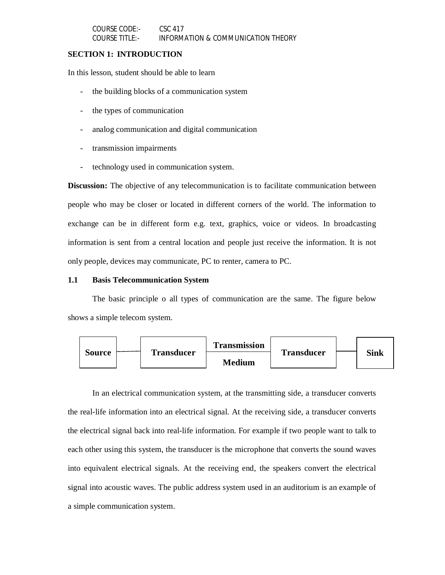# **SECTION 1: INTRODUCTION**

In this lesson, student should be able to learn

- the building blocks of a communication system
- the types of communication
- analog communication and digital communication
- transmission impairments
- technology used in communication system.

**Discussion:** The objective of any telecommunication is to facilitate communication between people who may be closer or located in different corners of the world. The information to exchange can be in different form e.g. text, graphics, voice or videos. In broadcasting information is sent from a central location and people just receive the information. It is not only people, devices may communicate, PC to renter, camera to PC.

# **1.1 Basis Telecommunication System**

The basic principle o all types of communication are the same. The figure below shows a simple telecom system.



In an electrical communication system, at the transmitting side, a transducer converts the real-life information into an electrical signal. At the receiving side, a transducer converts the electrical signal back into real-life information. For example if two people want to talk to each other using this system, the transducer is the microphone that converts the sound waves into equivalent electrical signals. At the receiving end, the speakers convert the electrical signal into acoustic waves. The public address system used in an auditorium is an example of a simple communication system.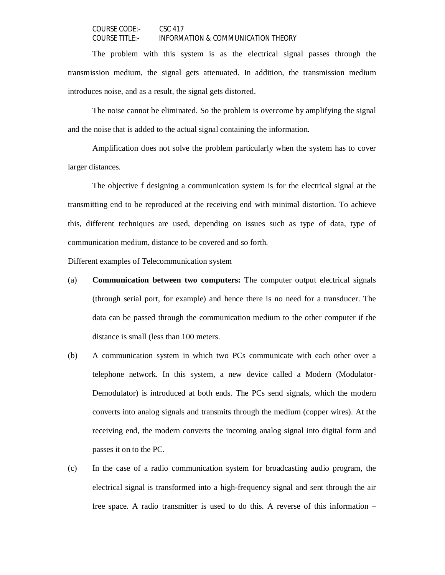The problem with this system is as the electrical signal passes through the transmission medium, the signal gets attenuated. In addition, the transmission medium introduces noise, and as a result, the signal gets distorted.

The noise cannot be eliminated. So the problem is overcome by amplifying the signal and the noise that is added to the actual signal containing the information.

Amplification does not solve the problem particularly when the system has to cover larger distances.

The objective f designing a communication system is for the electrical signal at the transmitting end to be reproduced at the receiving end with minimal distortion. To achieve this, different techniques are used, depending on issues such as type of data, type of communication medium, distance to be covered and so forth.

Different examples of Telecommunication system

- (a) **Communication between two computers:** The computer output electrical signals (through serial port, for example) and hence there is no need for a transducer. The data can be passed through the communication medium to the other computer if the distance is small (less than 100 meters.
- (b) A communication system in which two PCs communicate with each other over a telephone network. In this system, a new device called a Modern (Modulator-Demodulator) is introduced at both ends. The PCs send signals, which the modern converts into analog signals and transmits through the medium (copper wires). At the receiving end, the modern converts the incoming analog signal into digital form and passes it on to the PC.
- (c) In the case of a radio communication system for broadcasting audio program, the electrical signal is transformed into a high-frequency signal and sent through the air free space. A radio transmitter is used to do this. A reverse of this information –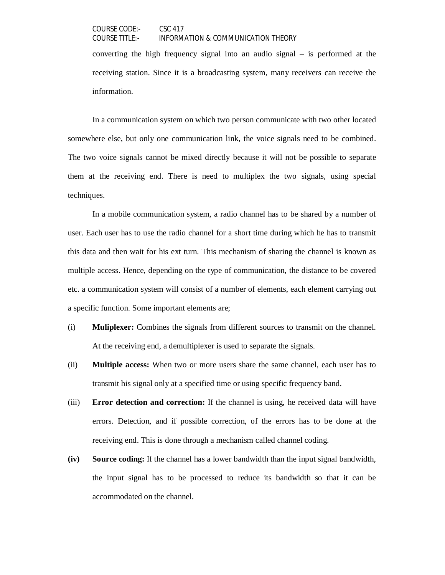converting the high frequency signal into an audio signal – is performed at the receiving station. Since it is a broadcasting system, many receivers can receive the information.

In a communication system on which two person communicate with two other located somewhere else, but only one communication link, the voice signals need to be combined. The two voice signals cannot be mixed directly because it will not be possible to separate them at the receiving end. There is need to multiplex the two signals, using special techniques.

In a mobile communication system, a radio channel has to be shared by a number of user. Each user has to use the radio channel for a short time during which he has to transmit this data and then wait for his ext turn. This mechanism of sharing the channel is known as multiple access. Hence, depending on the type of communication, the distance to be covered etc. a communication system will consist of a number of elements, each element carrying out a specific function. Some important elements are;

- (i) **Muliplexer:** Combines the signals from different sources to transmit on the channel. At the receiving end, a demultiplexer is used to separate the signals.
- (ii) **Multiple access:** When two or more users share the same channel, each user has to transmit his signal only at a specified time or using specific frequency band.
- (iii) **Error detection and correction:** If the channel is using, he received data will have errors. Detection, and if possible correction, of the errors has to be done at the receiving end. This is done through a mechanism called channel coding.
- **(iv) Source coding:** If the channel has a lower bandwidth than the input signal bandwidth, the input signal has to be processed to reduce its bandwidth so that it can be accommodated on the channel.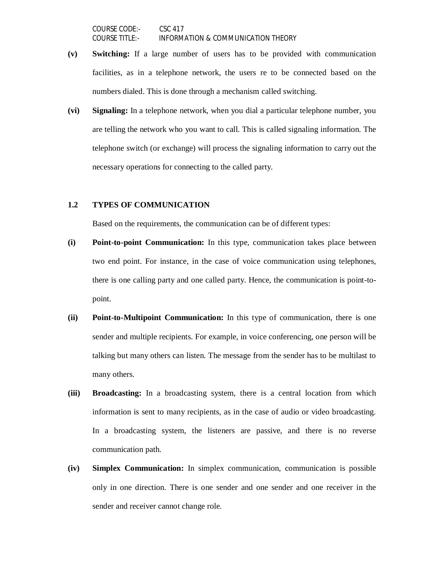- **(v) Switching:** If a large number of users has to be provided with communication facilities, as in a telephone network, the users re to be connected based on the numbers dialed. This is done through a mechanism called switching.
- **(vi) Signaling:** In a telephone network, when you dial a particular telephone number, you are telling the network who you want to call. This is called signaling information. The telephone switch (or exchange) will process the signaling information to carry out the necessary operations for connecting to the called party.

# **1.2 TYPES OF COMMUNICATION**

Based on the requirements, the communication can be of different types:

- **(i) Point-to-point Communication:** In this type, communication takes place between two end point. For instance, in the case of voice communication using telephones, there is one calling party and one called party. Hence, the communication is point-topoint.
- **(ii) Point-to-Multipoint Communication:** In this type of communication, there is one sender and multiple recipients. For example, in voice conferencing, one person will be talking but many others can listen. The message from the sender has to be multilast to many others.
- **(iii) Broadcasting:** In a broadcasting system, there is a central location from which information is sent to many recipients, as in the case of audio or video broadcasting. In a broadcasting system, the listeners are passive, and there is no reverse communication path.
- **(iv) Simplex Communication:** In simplex communication, communication is possible only in one direction. There is one sender and one sender and one receiver in the sender and receiver cannot change role.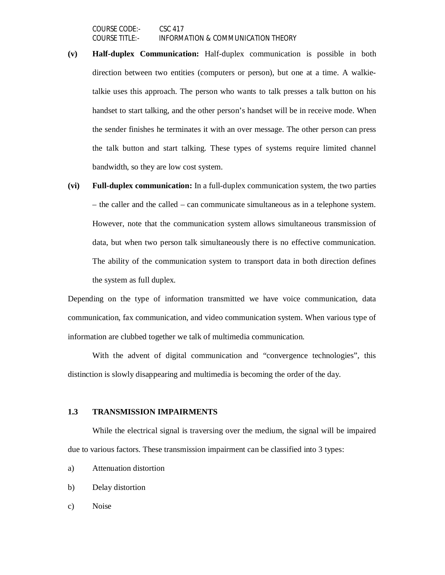- **(v) Half-duplex Communication:** Half-duplex communication is possible in both direction between two entities (computers or person), but one at a time. A walkietalkie uses this approach. The person who wants to talk presses a talk button on his handset to start talking, and the other person's handset will be in receive mode. When the sender finishes he terminates it with an over message. The other person can press the talk button and start talking. These types of systems require limited channel bandwidth, so they are low cost system.
- **(vi) Full-duplex communication:** In a full-duplex communication system, the two parties – the caller and the called – can communicate simultaneous as in a telephone system. However, note that the communication system allows simultaneous transmission of data, but when two person talk simultaneously there is no effective communication. The ability of the communication system to transport data in both direction defines the system as full duplex.

Depending on the type of information transmitted we have voice communication, data communication, fax communication, and video communication system. When various type of information are clubbed together we talk of multimedia communication.

With the advent of digital communication and "convergence technologies", this distinction is slowly disappearing and multimedia is becoming the order of the day.

#### **1.3 TRANSMISSION IMPAIRMENTS**

While the electrical signal is traversing over the medium, the signal will be impaired due to various factors. These transmission impairment can be classified into 3 types:

- a) Attenuation distortion
- b) Delay distortion
- c) Noise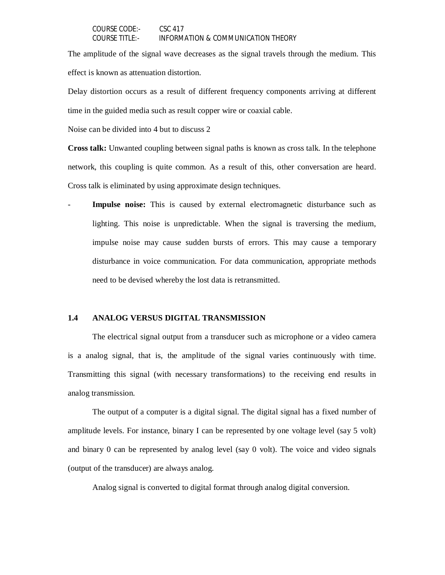The amplitude of the signal wave decreases as the signal travels through the medium. This effect is known as attenuation distortion.

Delay distortion occurs as a result of different frequency components arriving at different time in the guided media such as result copper wire or coaxial cable.

Noise can be divided into 4 but to discuss 2

**Cross talk:** Unwanted coupling between signal paths is known as cross talk. In the telephone network, this coupling is quite common. As a result of this, other conversation are heard. Cross talk is eliminated by using approximate design techniques.

**Impulse noise:** This is caused by external electromagnetic disturbance such as lighting. This noise is unpredictable. When the signal is traversing the medium, impulse noise may cause sudden bursts of errors. This may cause a temporary disturbance in voice communication. For data communication, appropriate methods need to be devised whereby the lost data is retransmitted.

#### **1.4 ANALOG VERSUS DIGITAL TRANSMISSION**

The electrical signal output from a transducer such as microphone or a video camera is a analog signal, that is, the amplitude of the signal varies continuously with time. Transmitting this signal (with necessary transformations) to the receiving end results in analog transmission.

The output of a computer is a digital signal. The digital signal has a fixed number of amplitude levels. For instance, binary I can be represented by one voltage level (say 5 volt) and binary 0 can be represented by analog level (say 0 volt). The voice and video signals (output of the transducer) are always analog.

Analog signal is converted to digital format through analog digital conversion.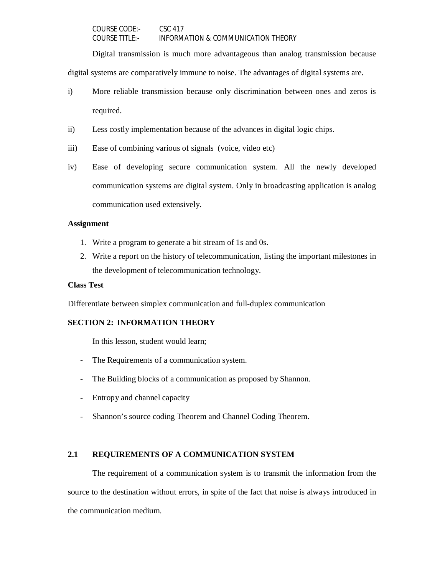Digital transmission is much more advantageous than analog transmission because

digital systems are comparatively immune to noise. The advantages of digital systems are.

- i) More reliable transmission because only discrimination between ones and zeros is required.
- ii) Less costly implementation because of the advances in digital logic chips.
- iii) Ease of combining various of signals (voice, video etc)
- iv) Ease of developing secure communication system. All the newly developed communication systems are digital system. Only in broadcasting application is analog communication used extensively.

# **Assignment**

- 1. Write a program to generate a bit stream of 1s and 0s.
- 2. Write a report on the history of telecommunication, listing the important milestones in the development of telecommunication technology.

# **Class Test**

Differentiate between simplex communication and full-duplex communication

# **SECTION 2: INFORMATION THEORY**

In this lesson, student would learn;

- The Requirements of a communication system.
- The Building blocks of a communication as proposed by Shannon.
- Entropy and channel capacity
- Shannon's source coding Theorem and Channel Coding Theorem.

# **2.1 REQUIREMENTS OF A COMMUNICATION SYSTEM**

The requirement of a communication system is to transmit the information from the source to the destination without errors, in spite of the fact that noise is always introduced in the communication medium.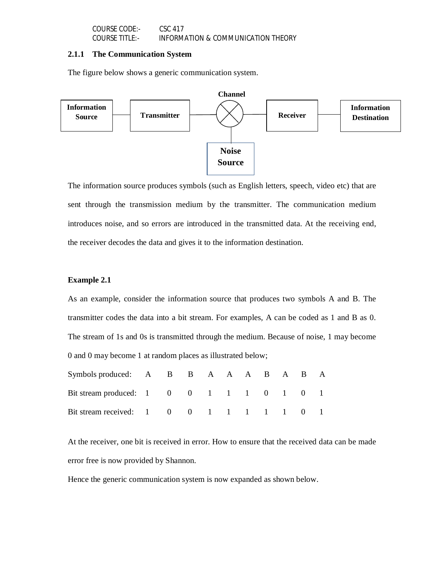#### **2.1.1 The Communication System**

The figure below shows a generic communication system.



The information source produces symbols (such as English letters, speech, video etc) that are sent through the transmission medium by the transmitter. The communication medium introduces noise, and so errors are introduced in the transmitted data. At the receiving end, the receiver decodes the data and gives it to the information destination.

#### **Example 2.1**

As an example, consider the information source that produces two symbols A and B. The transmitter codes the data into a bit stream. For examples, A can be coded as 1 and B as 0. The stream of 1s and 0s is transmitted through the medium. Because of noise, 1 may become 0 and 0 may become 1 at random places as illustrated below;

| Symbols produced: A B B A A A B A B A    |  |  |  |  |  |
|------------------------------------------|--|--|--|--|--|
| Bit stream produced: 1 0 0 1 1 1 0 1 0 1 |  |  |  |  |  |
| Bit stream received: 1 0 0 1 1 1 1 1 0 1 |  |  |  |  |  |

At the receiver, one bit is received in error. How to ensure that the received data can be made error free is now provided by Shannon.

Hence the generic communication system is now expanded as shown below.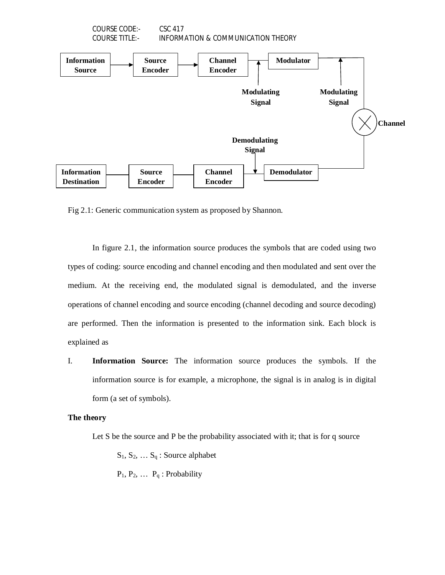

Fig 2.1: Generic communication system as proposed by Shannon.

In figure 2.1, the information source produces the symbols that are coded using two types of coding: source encoding and channel encoding and then modulated and sent over the medium. At the receiving end, the modulated signal is demodulated, and the inverse operations of channel encoding and source encoding (channel decoding and source decoding) are performed. Then the information is presented to the information sink. Each block is explained as

I. **Information Source:** The information source produces the symbols. If the information source is for example, a microphone, the signal is in analog is in digital form (a set of symbols).

### **The theory**

Let S be the source and P be the probability associated with it; that is for q source

 $S_1, S_2, \ldots S_q$ : Source alphabet

 $P_1, P_2, \ldots, P_q$ : Probability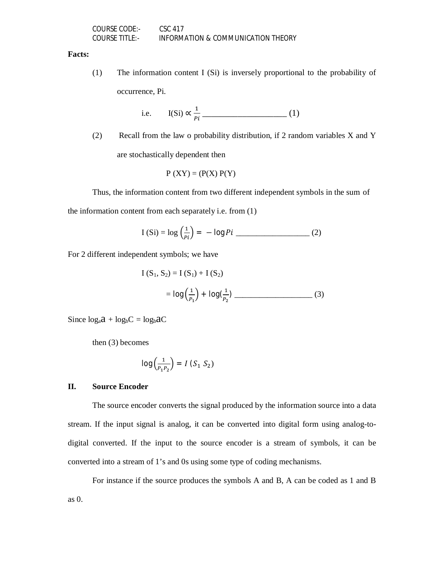| COURSE CODE:-         | CSC 417                            |
|-----------------------|------------------------------------|
| <b>COURSE TITLE:-</b> | INFORMATION & COMMUNICATION THEORY |

#### **Facts:**

(1) The information content I (Si) is inversely proportional to the probability of occurrence, Pi.

i.e. 
$$
I(Si) \propto \frac{1}{pi}
$$
 (1)

(2) Recall from the law o probability distribution, if 2 random variables X and Y are stochastically dependent then

$$
P (XY) = (P(X) P(Y)
$$

Thus, the information content from two different independent symbols in the sum of

the information content from each separately i.e. from (1)

I (Si) = 
$$
\log \left(\frac{1}{pi}\right) = -\log Pi
$$
 \_\_\_\_\_\_\_ (2)

For 2 different independent symbols; we have

$$
I(S_1, S_2) = I(S_1) + I(S_2)
$$
  
=  $\log(\frac{1}{P_1}) + \log(\frac{1}{P_2})$  (3)

Since  $log_a a + log_b C = log_b aC$ 

then (3) becomes

$$
\log\left(\frac{1}{P_1 P_2}\right) = I\left(S_1\ S_2\right)
$$

#### **II. Source Encoder**

The source encoder converts the signal produced by the information source into a data stream. If the input signal is analog, it can be converted into digital form using analog-todigital converted. If the input to the source encoder is a stream of symbols, it can be converted into a stream of 1's and 0s using some type of coding mechanisms.

For instance if the source produces the symbols A and B, A can be coded as 1 and B as 0.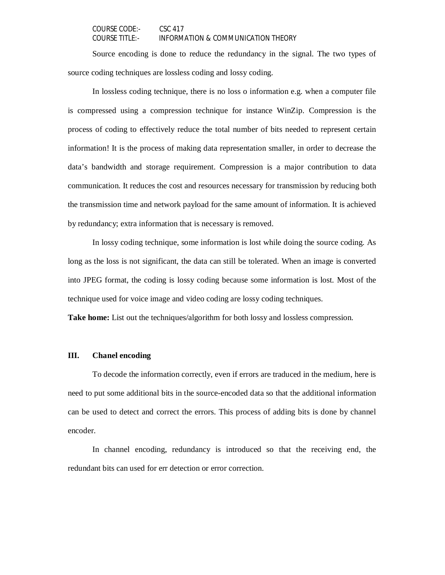Source encoding is done to reduce the redundancy in the signal. The two types of source coding techniques are lossless coding and lossy coding.

In lossless coding technique, there is no loss o information e.g. when a computer file is compressed using a compression technique for instance WinZip. Compression is the process of coding to effectively reduce the total number of bits needed to represent certain information! It is the process of making data representation smaller, in order to decrease the data's bandwidth and storage requirement. Compression is a major contribution to data communication. It reduces the cost and resources necessary for transmission by reducing both the transmission time and network payload for the same amount of information. It is achieved by redundancy; extra information that is necessary is removed.

In lossy coding technique, some information is lost while doing the source coding. As long as the loss is not significant, the data can still be tolerated. When an image is converted into JPEG format, the coding is lossy coding because some information is lost. Most of the technique used for voice image and video coding are lossy coding techniques.

**Take home:** List out the techniques/algorithm for both lossy and lossless compression.

# **III. Chanel encoding**

To decode the information correctly, even if errors are traduced in the medium, here is need to put some additional bits in the source-encoded data so that the additional information can be used to detect and correct the errors. This process of adding bits is done by channel encoder.

In channel encoding, redundancy is introduced so that the receiving end, the redundant bits can used for err detection or error correction.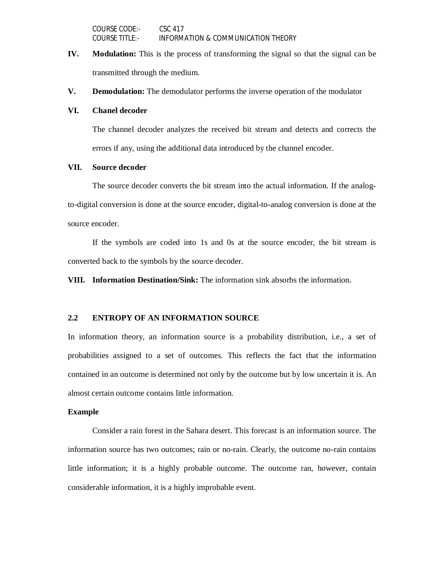- **IV. Modulation:** This is the process of transforming the signal so that the signal can be transmitted through the medium.
- **V. Demodulation:** The demodulator performs the inverse operation of the modulator

#### **VI. Chanel decoder**

The channel decoder analyzes the received bit stream and detects and corrects the errors if any, using the additional data introduced by the channel encoder.

### **VII. Source decoder**

The source decoder converts the bit stream into the actual information. If the analogto-digital conversion is done at the source encoder, digital-to-analog conversion is done at the source encoder.

If the symbols are coded into 1s and 0s at the source encoder, the bit stream is converted back to the symbols by the source decoder.

**VIII. Information Destination/Sink:** The information sink absorbs the information.

### **2.2 ENTROPY OF AN INFORMATION SOURCE**

In information theory, an information source is a probability distribution, i.e., a set of probabilities assigned to a set of outcomes. This reflects the fact that the information contained in an outcome is determined not only by the outcome but by low uncertain it is. An almost certain outcome contains little information.

#### **Example**

Consider a rain forest in the Sahara desert. This forecast is an information source. The information source has two outcomes; rain or no-rain. Clearly, the outcome no-rain contains little information; it is a highly probable outcome. The outcome ran, however, contain considerable information, it is a highly improbable event.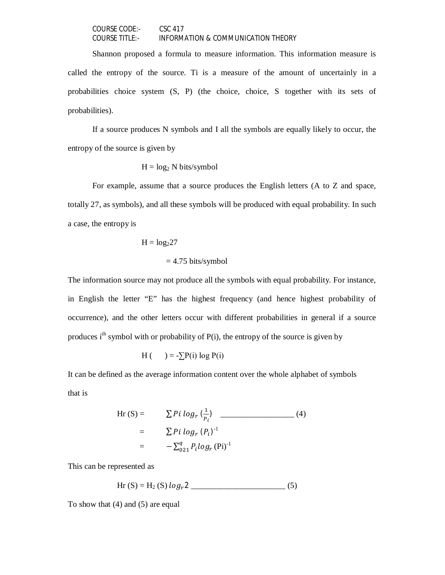Shannon proposed a formula to measure information. This information measure is called the entropy of the source. Ti is a measure of the amount of uncertainly in a probabilities choice system (S, P) (the choice, choice, S together with its sets of probabilities).

If a source produces N symbols and I all the symbols are equally likely to occur, the entropy of the source is given by

$$
H = \log_2 N
$$
 bits/symbol

For example, assume that a source produces the English letters (A to Z and space, totally 27, as symbols), and all these symbols will be produced with equal probability. In such a case, the entropy is

$$
H = \log_2 27
$$
  
= 4.75 bits/symbol

The information source may not produce all the symbols with equal probability. For instance, in English the letter "E" has the highest frequency (and hence highest probability of occurrence), and the other letters occur with different probabilities in general if a source produces  $i<sup>th</sup>$  symbol with or probability of P(i), the entropy of the source is given by

$$
H\left(\qquad\right)=-\sum P(i)\log P(i)
$$

It can be defined as the average information content over the whole alphabet of symbols that is

$$
\text{Hr (S)} = \sum P i \log_r \left( \frac{1}{P_i} \right) \qquad (4)
$$
\n
$$
= \sum P i \log_r (P_i)^{-1}
$$
\n
$$
= -\sum_{0 \ge 1}^{q} P_i \log_r (Pi)^{-1}
$$

This can be represented as

Hr  $(S) = H_2(S) log_r 2$  (5)

To show that (4) and (5) are equal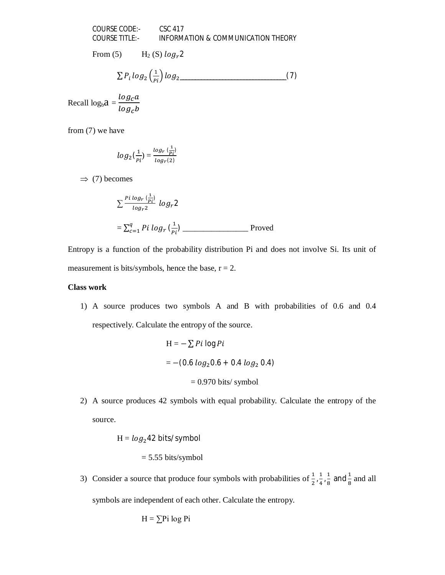From (5)  $H_2(S) log_r 2$ 

$$
\sum P_i \log_2 \left( \frac{1}{P_i} \right) \log_2 \tag{7}
$$

Recall  $log_b a = \frac{log_c a}{log_a b}$  $log_c b$ 

from (7) we have

$$
log_2(\frac{1}{pi})=\frac{log_r(\frac{1}{pi})}{log_r(z)}
$$

 $\Rightarrow$  (7) becomes

$$
\sum \frac{P^i \log r \left(\frac{1}{P_i}\right)}{\log r^2} \log r^2
$$
\n
$$
= \sum_{c=1}^q P^i \log r \left(\frac{1}{P_i}\right)
$$
\nProved

Entropy is a function of the probability distribution Pi and does not involve Si. Its unit of measurement is bits/symbols, hence the base,  $r = 2$ .

# **Class work**

1) A source produces two symbols A and B with probabilities of 0.6 and 0.4 respectively. Calculate the entropy of the source.

$$
H = -\sum P i \log P i
$$
  
= -(0.6 log<sub>2</sub>0.6 + 0.4 log<sub>2</sub> 0.4)  
= 0.970 bits/symbol

2) A source produces 42 symbols with equal probability. Calculate the entropy of the source.

$$
H = log242 bits/symbol
$$

$$
= 5.55
$$
 bits/symbol

3) Consider a source that produce four symbols with probabilities of  $\frac{1}{2}, \frac{1}{4}$  $\frac{1}{4}$ ,  $\frac{1}{8}$  $\frac{1}{8}$  and  $\frac{1}{8}$  and all symbols are independent of each other. Calculate the entropy.

$$
H = \sum P_i \log P_i
$$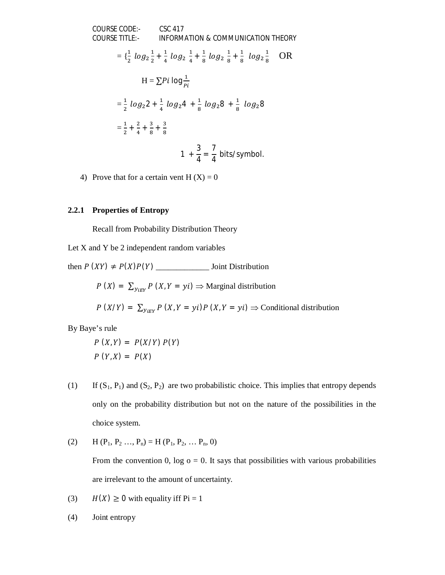COURSE CODE:  
\nCOLRSE TITLE:  
\nINFORMATION & COMMUNICATION THEORY  
\n
$$
= \left\{ \frac{1}{2} \log_2 \frac{1}{2} + \frac{1}{4} \log_2 \frac{1}{4} + \frac{1}{8} \log_2 \frac{1}{8} + \frac{1}{8} \log_2 \frac{1}{8} \right\}
$$
\nOR  
\n
$$
H = \sum P i \log \frac{1}{pi}
$$
\n
$$
= \frac{1}{2} \log_2 2 + \frac{1}{4} \log_2 4 + \frac{1}{8} \log_2 8 + \frac{1}{8} \log_2 8
$$
\n
$$
= \frac{1}{2} + \frac{2}{4} + \frac{3}{8} + \frac{3}{8}
$$
\n
$$
1 + \frac{3}{4} = \frac{7}{4} \text{ bits/symbol.}
$$

4) Prove that for a certain vent  $H(X) = 0$ 

# **2.2.1 Properties of Entropy**

Recall from Probability Distribution Theory

Let X and Y be 2 independent random variables

then ܲ (ܻܺ) ≠ ܲ(ܺ)ܲ(ܻ) \_\_\_\_\_\_\_\_\_\_\_\_\_ Joint Distribution

 $P(X) = \sum_{y_{i} \in Y} P(X_i | Y = yi) \Rightarrow$  Marginal distribution

$$
P(X/Y) = \sum_{Y \in Y} P(X, Y = yi) P(X, Y = yi) \Rightarrow
$$
 Conditional distribution

By Baye's rule

$$
P(X,Y) = P(X/Y) P(Y)
$$

$$
P(Y,X) = P(X)
$$

- (1) If  $(S_1, P_1)$  and  $(S_2, P_2)$  are two probabilistic choice. This implies that entropy depends only on the probability distribution but not on the nature of the possibilities in the choice system.
- (2)  $H(P_1, P_2, ..., P_n) = H(P_1, P_2, ..., P_n, 0)$

From the convention 0, log  $o = 0$ . It says that possibilities with various probabilities are irrelevant to the amount of uncertainty.

- (3)  $H(X) \ge 0$  with equality iff Pi = 1
- (4) Joint entropy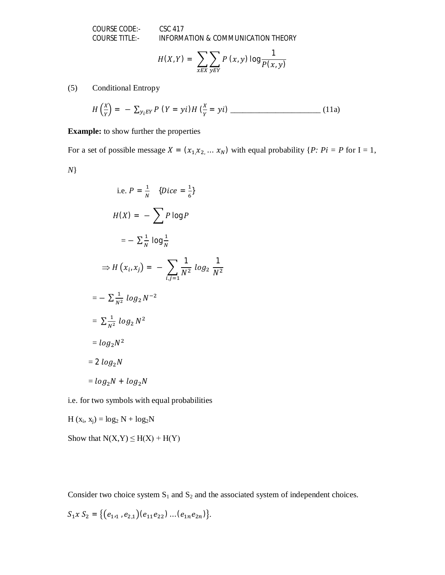COURSE CODE:- CSC 417

COURSE TITLE:- INFORMATION & COMMUNICATION THEORY

$$
H(X,Y) = \sum_{x \in X} \sum_{y \in Y} P(x,y) \log \frac{1}{P(x,y)}
$$

(5) Conditional Entropy

$$
H\left(\frac{x}{Y}\right) = -\sum_{y_i \in Y} P\left(Y = yi\right) H\left(\frac{x}{Y} = yi\right) \qquad (11a)
$$

**Example:** to show further the properties

For a set of possible message  $X = (x_1, x_2, \dots, x_N)$  with equal probability  $\{P: Pi = P \text{ for } I = 1, \dots, N\}$ 

*N*}

i.e. 
$$
P = \frac{1}{N}
$$
 {Dice =  $\frac{1}{6}$ }  
\n
$$
H(X) = -\sum P \log P
$$
\n
$$
= -\sum \frac{1}{N} \log \frac{1}{N}
$$
\n
$$
\Rightarrow H(x_i, x_j) = -\sum_{i,j=1}^{\infty} \frac{1}{N^2} \log_2 \frac{1}{N^2}
$$
\n
$$
= -\sum \frac{1}{N^2} \log_2 N^{-2}
$$
\n
$$
= \sum \frac{1}{N^2} \log_2 N^2
$$
\n
$$
= \log_2 N^2
$$
\n
$$
= \log_2 N
$$
\n
$$
= \log_2 N + \log_2 N
$$

i.e. for two symbols with equal probabilities

$$
H(x_i, x_j) = log_2 N + log_2 N
$$

Show that  $N(X,Y) \leq H(X) + H(Y)$ 

Consider two choice system  $S_1$  and  $S_2$  and the associated system of independent choices.

$$
S_1 x S_2 = \{ (e_{1 \cdot 1}, e_{2,1}) (e_{11} e_{22}) \dots (e_{1n} e_{2n}) \}.
$$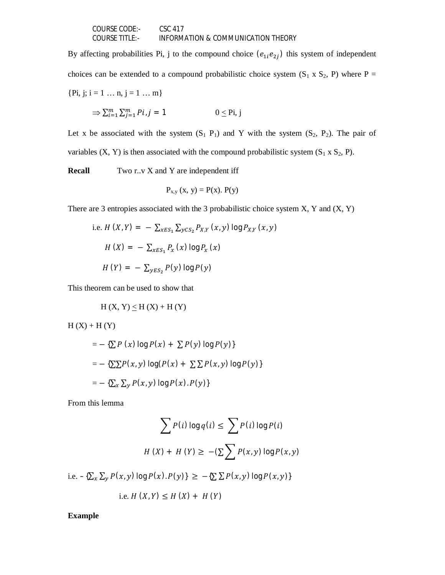| COURSE CODE:-  | CSC 417                            |
|----------------|------------------------------------|
| COURSE TITLE:- | INFORMATION & COMMUNICATION THEORY |

By affecting probabilities Pi, j to the compound choice  $(e_{1i}e_{2j})$  this system of independent choices can be extended to a compound probabilistic choice system  $(S_1 \times S_2, P)$  where P = {Pi, j; i = 1 ...  $n, j = 1$  ...  $m$ }

$$
\Rightarrow \sum_{i=1}^{m} \sum_{j=1}^{m} P i, j = 1 \qquad 0 \leq \text{Pi}, j
$$

Let x be associated with the system  $(S_1 P_1)$  and Y with the system  $(S_2, P_2)$ . The pair of variables  $(X, Y)$  is then associated with the compound probabilistic system  $(S_1 \times S_2, P)$ .

**Recall** Two r..v X and Y are independent iff

$$
P_{x,y}(x, y) = P(x). P(y)
$$

There are 3 entropies associated with the 3 probabilistic choice system  $X$ ,  $Y$  and  $(X, Y)$ 

i.e. 
$$
H(X,Y) = -\sum_{xES_1} \sum_{yCS_2} P_{X,Y}(x, y) \log P_{X,Y}(x, y)
$$
  
\n $H(X) = -\sum_{xES_1} P_x(x) \log P_x(x)$   
\n $H(Y) = -\sum_{yES_2} P(y) \log P(y)$ 

This theorem can be used to show that

$$
H(X, Y) \le H(X) + H(Y)
$$

 $H(X) + H(Y)$ 

$$
= -\left\{ \sum P(x) \log P(x) + \sum P(y) \log P(y) \right\}
$$

$$
= -\left\{ \sum \sum P(x, y) \log(P(x) + \sum \sum P(x, y) \log P(y) \right\}
$$

$$
= -\left\{ \sum_{x} \sum_{y} P(x, y) \log P(x). P(y) \right\}
$$

From this lemma

$$
\sum P(i) \log q(i) \le \sum P(i) \log P(i)
$$
  
H(X) + H(Y) \ge -(\sum \sum P(x, y) \log P(x, y))

i.e.  $-\{\sum_{x}\sum_{y}P(x,y)\log P(x).P(y)\}\geq -\{\sum_{x}\sum_{y}P(x,y)\log P(x,y)\}\$ 

i.e. 
$$
H(X, Y) \le H(X) + H(Y)
$$

**Example**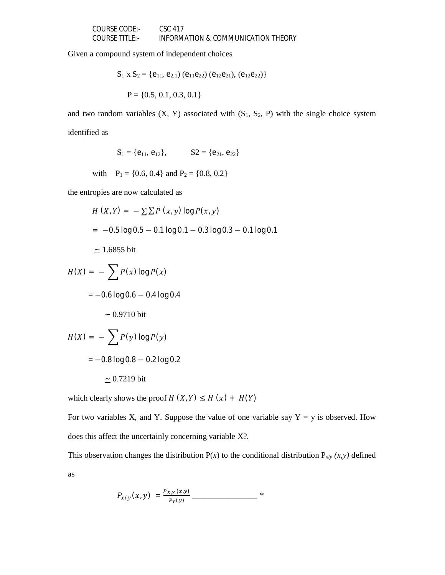Given a compound system of independent choices

$$
S_1 \times S_2 = \{e_{11}, e_{2,1}\}\ (e_{11}e_{22})\ (e_{12}e_{21}),\ (e_{12}e_{22})\}
$$

$$
P = \{0.5, 0.1, 0.3, 0.1\}
$$

and two random variables  $(X, Y)$  associated with  $(S_1, S_2, P)$  with the single choice system identified as

$$
S_1=\{e_{11},\,e_{12}\},\qquad\quad S2=\{e_{21},\,e_{22}\}
$$

with  $P_1 = \{0.6, 0.4\}$  and  $P_2 = \{0.8, 0.2\}$ 

the entropies are now calculated as

$$
H (X, Y) = -\sum \sum P (x, y) \log P(x, y)
$$
  
= -0.5 log 0.5 - 0.1 log 0.1 - 0.3 log 0.3 - 0.1 log 0.1  
= 1.6855 bit  

$$
H(X) = -\sum P(x) \log P(x)
$$

$$
= -0.6 \log 0.6 - 0.4 \log 0.4
$$
  

$$
\approx 0.9710 \text{ bit}
$$

$$
H(X) = -\sum P(y) \log P(y)
$$
  
= -0.8 log 0.8 - 0.2 log 0.2  

$$
\approx 0.7219 \text{ bit}
$$

which clearly shows the proof  $H(X, Y) \leq H(x) + H(Y)$ 

For two variables X, and Y. Suppose the value of one variable say  $Y = y$  is observed. How does this affect the uncertainly concerning variable X?.

This observation changes the distribution  $P(x)$  to the conditional distribution  $P_{x/y} (x, y)$  defined as

$$
P_{x/y}(x, y) = \frac{P_{X,Y}(x, y)}{P_Y(y)} \frac{1}{\frac{P_X(y)}{P_Y(y)}} \frac{1}{\frac{P_X(y)}{P_Y(y)}} \frac{1}{\frac{P_X(y)}{P_Y(y)}} \frac{1}{\frac{P_X(y)}{P_Y(y)}}.
$$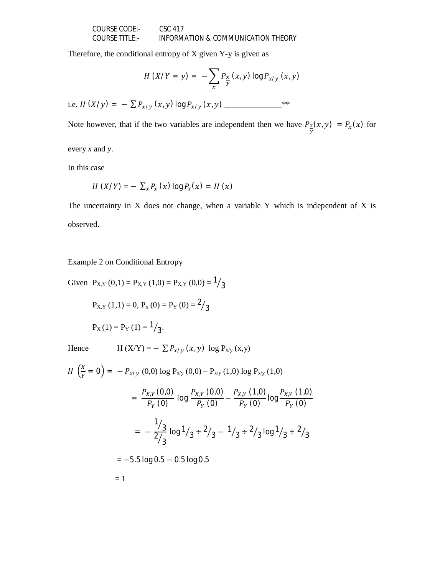Therefore, the conditional entropy of  $X$  given  $Y$ -y is given as

$$
H(X/Y = y) = -\sum_{x} P_{\frac{x}{y}}(x, y) \log P_{x/y} (x, y)
$$
  
i.e.  $H(X/y) = -\sum P_{x/y} (x, y) \log P_{x/y} (x, y)$ 

Note however, that if the two variables are independent then we have  $P_{\frac{x}{y}}(x, y) = P_{x}(x)$  for

every *x* and *y*.

In this case

$$
H(X/Y) = -\sum_{x} P_{x}(x) \log P_{x}(x) = H(x)
$$

The uncertainty in  $X$  does not change, when a variable  $Y$  which is independent of  $X$  is observed.

Example 2 on Conditional Entropy

Given  $P_{X,Y}(0,1) = P_{X,Y}(1,0) = P_{X,Y}(0,0) = \frac{1}{3}$ 

$$
P_{X,Y}(1,1) = 0
$$
,  $P_x(0) = P_Y(0) = \frac{2}{3}$ 

$$
P_X(1) = P_Y(1) = \frac{1}{3}
$$
.

Hence  $H(X/Y)$ 

$$
= - \sum P_{x/y} (x, y) \log P_{x/y} (x, y)
$$

 $H\left(\frac{X}{Y}\right)$  $\frac{\Delta}{Y} = 0$  =  $-P_{x/y} (0,0) \log P_{x/y} (0,0) - P_{x/y} (1,0) \log P_{x/y} (1,0)$  $=\frac{P_{X,Y}(0,0)}{P_{X,Y}(0)}$  $\frac{P_{X,Y}\left(0,0\right)}{P_Y\left(0\right)}$  log  $\frac{P_{X,Y}\left(0,0\right)}{P_Y\left(0\right)}$  $\frac{P_{X,Y}(0,0)}{P_Y(0)} - \frac{P_{X,Y}(1,0)}{P_Y(0)}$  $\frac{P_{X,Y}\left(1,0\right)}{P_{Y}\left(0\right)}$  log  $\frac{P_{X,Y}\left(1,0\right)}{P_{Y}\left(0\right)}$  $P_Y(0)$ = − 1  $\frac{1}{3}$ 2  $/$ <sub>3</sub>  $\log 1/3 \div 2/3 - 1/3 \div 2/3 \log 1/3 \div 2/3$  $= -5.5$  log 0.5  $- 0.5$  log 0.5

 $= 1$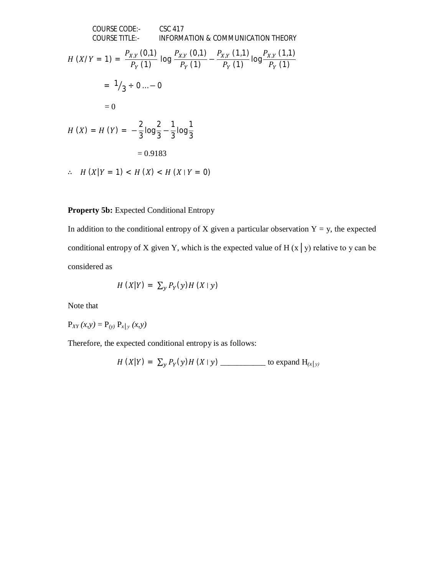COURSE CODE:  
\nCOURSE TITLE:  
\nINFORMATION & COMMUNICATION THEORY  
\n
$$
H(X/Y = 1) = \frac{P_{X,Y}(0,1)}{P_Y(1)} \log \frac{P_{X,Y}(0,1)}{P_Y(1)} - \frac{P_{X,Y}(1,1)}{P_Y(1)} \log \frac{P_{X,Y}(1,1)}{P_Y(1)}
$$
\n
$$
= \frac{1}{3} \div 0 \dots - 0
$$
\n
$$
= 0
$$
\n
$$
H(X) = H(Y) = -\frac{2}{3} \log \frac{2}{3} - \frac{1}{3} \log \frac{1}{3}
$$
\n
$$
= 0.9183
$$
\n∴ H(X|Y = 1) < H(X) < H(X|Y = 0)

# **Property 5b:** Expected Conditional Entropy

In addition to the conditional entropy of X given a particular observation  $Y = y$ , the expected conditional entropy of X given Y, which is the expected value of H  $(x | y)$  relative to y can be considered as

$$
H(X|Y) = \sum_{y} P_{Y}(y)H(X|y)
$$

Note that

$$
P_{XY}(x, y) = P_{(y)} P_{x|y} (x, y)
$$

Therefore, the expected conditional entropy is as follows:

$$
H(X|Y) = \sum_{y} P_{Y}(y)H(X|y)
$$
 \_\_\_\_\_\_\_\_ to expand H<sub>(x|y)</sub>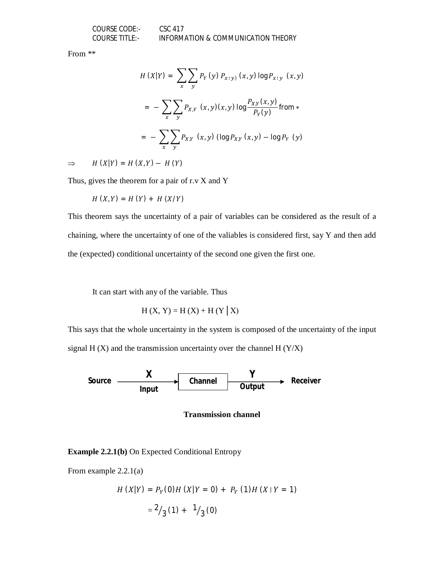From \*\*

$$
H(X|Y) = \sum_{x} \sum_{y} P_{Y}(y) P_{x|y)} (x, y) \log P_{x|y} (x, y)
$$
  
= 
$$
- \sum_{x} \sum_{y} P_{X,Y} (x, y) (x, y) \log \frac{P_{X,Y}(x, y)}{P_{Y}(y)} \text{ from *}
$$
  
= 
$$
- \sum_{x} \sum_{y} P_{X,Y} (x, y) (\log P_{X,Y} (x, y) - \log P_{Y} (y))
$$

 $\Rightarrow$   $H(X|Y) = H(X,Y) - H(Y)$ 

Thus, gives the theorem for a pair of r.v X and Y

$$
H(X,Y) = H(Y) + H(X/Y)
$$

This theorem says the uncertainty of a pair of variables can be considered as the result of a chaining, where the uncertainty of one of the valiables is considered first, say Y and then add the (expected) conditional uncertainty of the second one given the first one.

It can start with any of the variable. Thus

$$
H(X, Y) = H(X) + H(Y | X)
$$

This says that the whole uncertainty in the system is composed of the uncertainty of the input signal H  $(X)$  and the transmission uncertainty over the channel H  $(Y/X)$ 



#### **Transmission channel**

**Example 2.2.1(b)** On Expected Conditional Entropy

From example 2.2.1(a)

$$
H(X|Y) = P_Y(0)H(X|Y = 0) + P_Y(1)H(X|Y = 1)
$$
  
=  $\frac{2}{3}(1) + \frac{1}{3}(0)$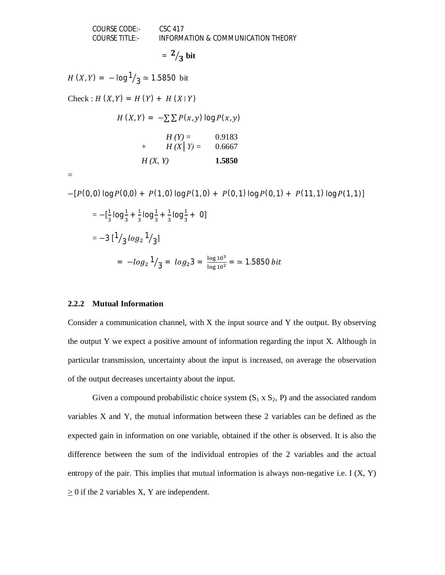$$
= \frac{2}{3} \text{ bit}
$$

 $H(X,Y) = -\log \frac{1}{3} \approx 1.5850$  bit

 $Check : H(X, Y) = H(Y) + H(X|Y)$ 

$$
H(X,Y) = -\sum \sum P(x,y) \log P(x,y)
$$

|         | $H(Y) =$   | 0.9183 |
|---------|------------|--------|
| $^{+}$  | $H(X Y) =$ | 0.6667 |
| H(X, Y) |            | 1.5850 |

=

 $-[P(0, 0) \log P(0, 0) + P(1, 0) \log P(1, 0) + P(0, 1) \log P(0, 1) + P(11, 1) \log P(1, 1)]$  $= -[\frac{1}{2}]$  $\frac{1}{3}$ log $\frac{1}{3}$  +  $\frac{1}{3}$  $\frac{1}{3}$ log $\frac{1}{3}$  +  $\frac{1}{3}$  $\frac{1}{3}$ log $\frac{1}{3}$ + 0]  $=-3$  [<sup>1</sup>]  $/$ 3 $log_2 1$  $\sqrt{3}$ ]  $= -\log_2 1$  $\sqrt{3} = log_2 3 = \frac{log_1 10^3}{log_1 10^2} = \approx 1.5850 \text{ bit}$ 

# **2.2.2 Mutual Information**

Consider a communication channel, with X the input source and Y the output. By observing the output Y we expect a positive amount of information regarding the input X. Although in particular transmission, uncertainty about the input is increased, on average the observation of the output decreases uncertainty about the input.

Given a compound probabilistic choice system  $(S_1 \times S_2, P)$  and the associated random variables X and Y, the mutual information between these 2 variables can be defined as the expected gain in information on one variable, obtained if the other is observed. It is also the difference between the sum of the individual entropies of the 2 variables and the actual entropy of the pair. This implies that mutual information is always non-negative i.e. I  $(X, Y)$  $\geq$  0 if the 2 variables X, Y are independent.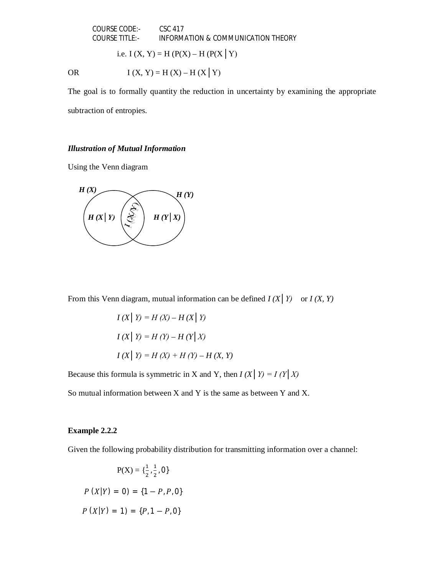i.e. I  $(X, Y) = H(P(X) - H(P(X | Y))$ 

OR  $I(X, Y) = H(X) - H(X|Y)$ 

The goal is to formally quantity the reduction in uncertainty by examining the appropriate subtraction of entropies.

# *Illustration of Mutual Information*

Using the Venn diagram



From this Venn diagram, mutual information can be defined  $I(X|Y)$  or  $I(X, Y)$ 

$$
I(X | Y) = H(X) - H(X | Y)
$$
  
\n
$$
I(X | Y) = H(Y) - H(Y | X)
$$
  
\n
$$
I(X | Y) = H(X) + H(Y) - H(X, Y)
$$

Because this formula is symmetric in X and Y, then  $I(X | Y) = I(Y | X)$ 

So mutual information between X and Y is the same as between Y and X.

#### **Example 2.2.2**

Given the following probability distribution for transmitting information over a channel:

$$
P(X) = \{\frac{1}{2}, \frac{1}{2}, 0\}
$$
  

$$
P(X|Y) = 0) = \{1 - P, P, 0\}
$$
  

$$
P(X|Y) = 1) = \{P, 1 - P, 0\}
$$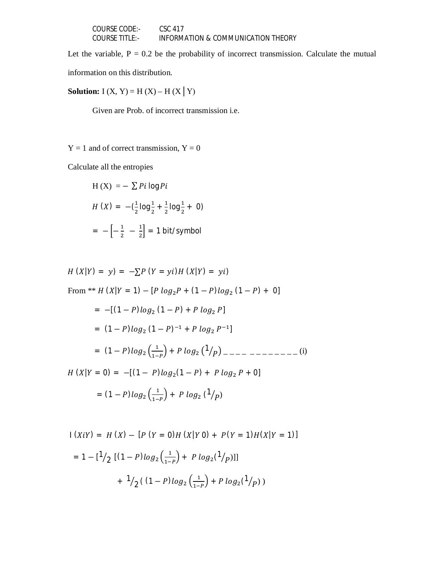| COURSE CODE:-  | CSC 417                            |
|----------------|------------------------------------|
| COURSE TITLE:- | INFORMATION & COMMUNICATION THEORY |

Let the variable,  $P = 0.2$  be the probability of incorrect transmission. Calculate the mutual

information on this distribution.

**Solution:**  $I(X, Y) = H(X) - H(X | Y)$ 

Given are Prob. of incorrect transmission i.e.

 $Y = 1$  and of correct transmission,  $Y = 0$ 

Calculate all the entropies

H (X) = 
$$
-\sum P i \log P i
$$
  
\nH (X) =  $-(\frac{1}{2} \log \frac{1}{2} + \frac{1}{2} \log \frac{1}{2} + 0)$   
\n=  $-\left[-\frac{1}{2} - \frac{1}{2}\right]$  = 1 bit/symbol

$$
H(X|Y) = y) = -\sum P (Y = yi)H (X|Y) = yi)
$$
  
From \*\* H (X|Y = 1) - [P log<sub>2</sub>P + (1 – P)log<sub>2</sub> (1 – P) + 0]  
= -[(1 – P)log<sub>2</sub> (1 – P) + P log<sub>2</sub> P]  
= (1 – P)log<sub>2</sub> (1 – P)<sup>-1</sup> + P log<sub>2</sub> P<sup>-1</sup>]  
= (1 – P)log<sub>2</sub>  $\left(\frac{1}{1-P}\right)$  + P log<sub>2</sub>  $\left(\frac{1}{P}\right)$  = -2 – -2 – -2 – (i)  
H (X|Y = 0) = -[(1 – P)log<sub>2</sub> (1 – P) + P log<sub>2</sub> P + 0]  
= (1 – P)log<sub>2</sub>  $\left(\frac{1}{1-P}\right)$  + P log<sub>2</sub>  $\left(\frac{1}{P}\right)$ 

$$
1 (XiY) = H (X) - [P (Y = 0)H (X|Y 0) + P(Y = 1)H(X|Y = 1)]
$$
  
= 1 - [1/2 [(1 - P)log<sub>2</sub>(\frac{1}{1 - P}) + P log<sub>2</sub>(1/p)]]  
+ 1/2 ((1 - P)log<sub>2</sub>(\frac{1}{1 - P}) + P log<sub>2</sub>(1/p))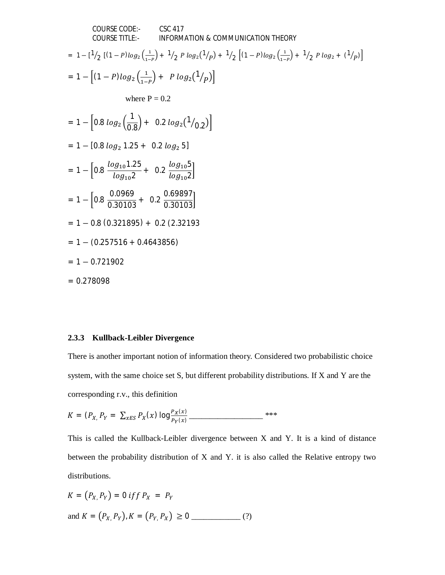COURSE CODE:   
\nCSC 417  
\nCOURSE TITLE: INFORMATION & COMMUNICATION THEORY  
\n= 
$$
1 - [1/2 [(1 - P)log_2(\frac{1}{1-p}) + 1/2 P log_2(1/p) + 1/2 [(1 - P)log_2(\frac{1}{1-p}) + 1/2 P log_2 + (1/p)]
$$
  
\n=  $1 - [(1 - P)log_2(\frac{1}{1-p}) + P log_2(1/p)]$   
\nwhere  $P = 0.2$   
\n=  $1 - [0.8 log_2(\frac{1}{0.8}) + 0.2 log_2(1/0.2)]$   
\n=  $1 - [0.8 log_2 1.25 + 0.2 log_2 5]$   
\n=  $1 - [0.8 \frac{log_{10} 1.25}{log_{10} 2} + 0.2 \frac{log_{10} 5}{log_{10} 2}]$   
\n=  $1 - [0.8 \frac{0.0969}{0.30103} + 0.2 \frac{0.69897}{0.30103}]$   
\n=  $1 - 0.8 (0.321895) + 0.2 (2.32193)$   
\n=  $1 - 0.8 (0.321895) + 0.2 (2.32193)$   
\n=  $1 - 0.721902$   
\n= 0.278098

### **2.3.3 Kullback-Leibler Divergence**

There is another important notion of information theory. Considered two probabilistic choice system, with the same choice set S, but different probability distributions. If X and Y are the corresponding r.v., this definition

$$
K = (P_{X_1} P_Y = \sum_{x \in S} P_X(x) \log \frac{P_X(x)}{P_Y(x)}
$$

This is called the Kullback-Leibler divergence between X and Y. It is a kind of distance between the probability distribution of X and Y. it is also called the Relative entropy two distributions.

$$
K = (P_X, P_Y) = 0 \text{ if } P_X = P_Y
$$
  
and 
$$
K = (P_X, P_Y), K = (P_Y, P_X) \ge 0
$$
 (?)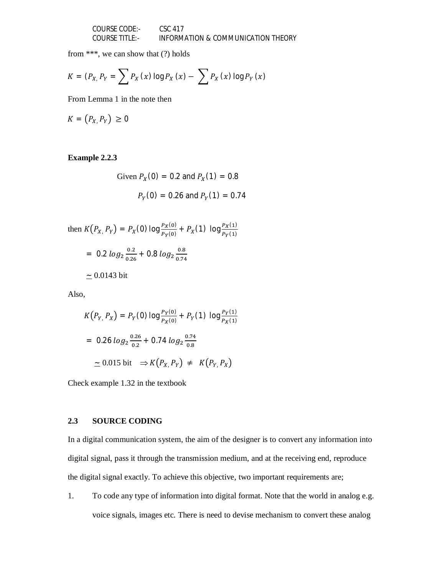COURSE CODE:- CSC 417 COURSE TITLE:- INFORMATION & COMMUNICATION THEORY

from \*\*\*, we can show that (?) holds

$$
K = (P_{X_1} P_{Y_1}) = \sum P_X(x) \log P_X(x) - \sum P_X(x) \log P_Y(x)
$$

From Lemma 1 in the note then

$$
K = (P_{X_i} P_Y) \geq 0
$$

**Example 2.2.3**

Given 
$$
P_X(0) = 0.2
$$
 and  $P_X(1) = 0.8$   
 $P_Y(0) = 0.26$  and  $P_Y(1) = 0.74$ 

then 
$$
K(P_{X_1} P_Y) = P_X(0) \log \frac{P_X(0)}{P_Y(0)} + P_X(1) \log \frac{P_X(1)}{P_Y(1)}
$$
  
= 0.2  $\log_2 \frac{0.2}{0.26} + 0.8 \log_2 \frac{0.8}{0.74}$   
 $\approx 0.0143 \text{ bit}$ 

Also,

$$
K(P_{Y_1} P_X) = P_Y(0) \log \frac{P_Y(0)}{P_X(0)} + P_Y(1) \log \frac{P_Y(1)}{P_X(1)}
$$
  
= 0.26  $\log_2 \frac{0.26}{0.2} + 0.74 \log_2 \frac{0.74}{0.8}$   
 $\simeq 0.015 \text{ bit } \Rightarrow K(P_{X_1} P_Y) \neq K(P_{Y_1} P_X)$ 

Check example 1.32 in the textbook

# **2.3 SOURCE CODING**

In a digital communication system, the aim of the designer is to convert any information into digital signal, pass it through the transmission medium, and at the receiving end, reproduce the digital signal exactly. To achieve this objective, two important requirements are;

1. To code any type of information into digital format. Note that the world in analog e.g. voice signals, images etc. There is need to devise mechanism to convert these analog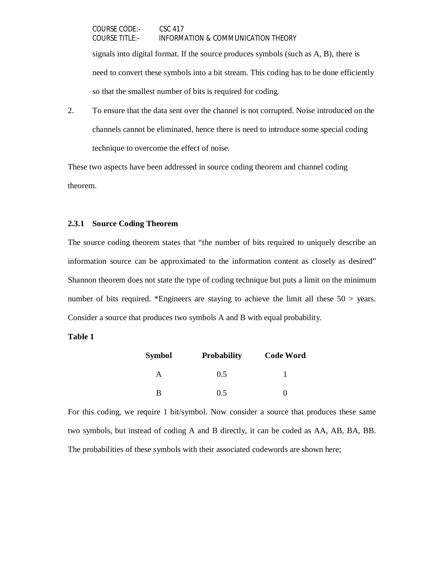signals into digital format. If the source produces symbols (such as A, B), there is need to convert these symbols into a bit stream. This coding has to be done efficiently so that the smallest number of bits is required for coding.

2. To ensure that the data sent over the channel is not corrupted. Noise introduced on the channels cannot be eliminated, hence there is need to introduce some special coding technique to overcome the effect of noise.

These two aspects have been addressed in source coding theorem and channel coding theorem.

# **2.3.1 Source Coding Theorem**

The source coding theorem states that "the number of bits required to uniquely describe an information source can be approximated to the information content as closely as desired" Shannon theorem does not state the type of coding technique but puts a limit on the minimum number of bits required. \*Engineers are staying to achieve the limit all these 50 > years. Consider a source that produces two symbols A and B with equal probability.

### **Table 1**

| <b>Symbol</b> | <b>Probability</b> | <b>Code Word</b> |  |
|---------------|--------------------|------------------|--|
| А             | 0.5                |                  |  |
| R             | 0.5                |                  |  |

For this coding, we require 1 bit/symbol. Now consider a source that produces these same two symbols, but instead of coding A and B directly, it can be coded as AA, AB, BA, BB. The probabilities of these symbols with their associated codewords are shown here;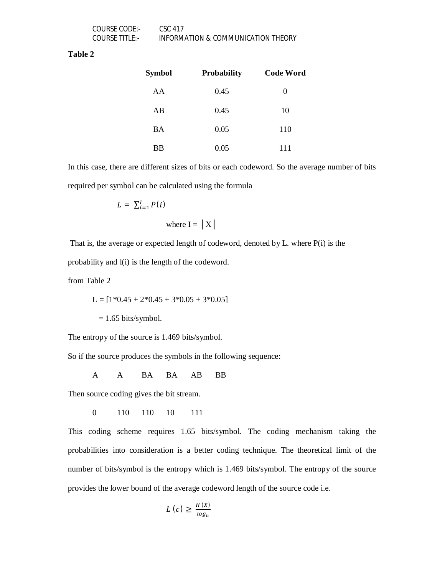#### **Table 2**

| <b>Symbol</b> | <b>Probability</b> | <b>Code Word</b> |
|---------------|--------------------|------------------|
| AA            | 0.45               | $\theta$         |
| AB            | 0.45               | 10               |
| <b>BA</b>     | 0.05               | 110              |
| ВB            | 0.05               | 111              |

In this case, there are different sizes of bits or each codeword. So the average number of bits required per symbol can be calculated using the formula

$$
L = \sum_{i=1}^{I} P(i)
$$
  
where I = |X|

That is, the average or expected length of codeword, denoted by L. where P(i) is the probability and l(i) is the length of the codeword.

from Table 2

 $L = [1*0.45 + 2*0.45 + 3*0.05 + 3*0.05]$ 

 $= 1.65$  bits/symbol.

The entropy of the source is 1.469 bits/symbol.

So if the source produces the symbols in the following sequence:

A A BA BA AB BB

Then source coding gives the bit stream.

0 110 110 10 111

This coding scheme requires 1.65 bits/symbol. The coding mechanism taking the probabilities into consideration is a better coding technique. The theoretical limit of the number of bits/symbol is the entropy which is 1.469 bits/symbol. The entropy of the source provides the lower bound of the average codeword length of the source code i.e.

$$
L\left(c\right) \geq \frac{H\left(X\right)}{\log n}
$$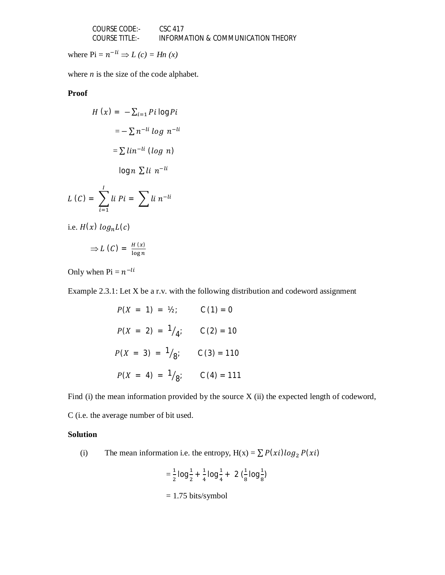| COURSE CODE:-  | CSC 417                            |
|----------------|------------------------------------|
| COURSE TITLE:- | INFORMATION & COMMUNICATION THEORY |

where  $\text{Pi} = n^{-li} \Rightarrow L(c) = Hn(x)$ 

where  $n$  is the size of the code alphabet.

# **Proof**

$$
H(x) = -\sum_{i=1}^{n} P_i \log P_i
$$

$$
= -\sum n^{-li} \log n^{-li}
$$

$$
= \sum lin^{-li} (\log n)
$$

$$
\log n \sum li n^{-li}
$$

$$
L(C) = \sum_{i=1}^{I} li Pi = \sum li n^{-li}
$$

i.e.  $H(x)$   $log_n L(c)$ 

$$
\Rightarrow L(C) = \frac{H(x)}{\log n}
$$

Only when  $Pi = n^{-li}$ 

Example 2.3.1: Let X be a r.v. with the following distribution and codeword assignment

$$
P(X = 1) = V_2; \qquad C(1) = 0
$$
  

$$
P(X = 2) = \frac{1}{4}; \qquad C(2) = 10
$$
  

$$
P(X = 3) = \frac{1}{8}; \qquad C(3) = 110
$$
  

$$
P(X = 4) = \frac{1}{8}; \qquad C(4) = 111
$$

Find (i) the mean information provided by the source X (ii) the expected length of codeword,

C (i.e. the average number of bit used.

# **Solution**

(i) The mean information i.e. the entropy,  $H(x) = \sum P(xi) \log_2 P(xi)$ 

$$
= \frac{1}{2} \log \frac{1}{2} + \frac{1}{4} \log \frac{1}{4} + 2 \left( \frac{1}{8} \log \frac{1}{8} \right)
$$
  
= 1.75 bits/symbol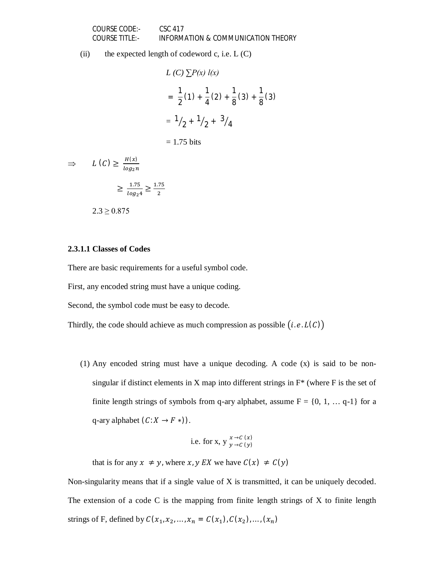(ii) the expected length of codeword c, i.e.  $L(C)$ 

$$
L(C) \sum P(x) l(x)
$$
  
=  $\frac{1}{2}(1) + \frac{1}{4}(2) + \frac{1}{8}(3) + \frac{1}{8}(3)$   
=  $\frac{1}{2} + \frac{1}{2} + \frac{3}{4}$ 

 $= 1.75$  bits

$$
\Rightarrow L(C) \ge \frac{H(x)}{\log_2 n}
$$

$$
\ge \frac{1.75}{\log_2 4} \ge \frac{1.75}{2}
$$

$$
2.3 \ge 0.875
$$

## **2.3.1.1 Classes of Codes**

There are basic requirements for a useful symbol code.

First, any encoded string must have a unique coding.

Second, the symbol code must be easy to decode.

Thirdly, the code should achieve as much compression as possible  $(i.e. L(C))$ 

(1) Any encoded string must have a unique decoding. A code (x) is said to be nonsingular if distinct elements in X map into different strings in  $F^*$  (where F is the set of finite length strings of symbols from q-ary alphabet, assume  $F = \{0, 1, \dots, q-1\}$  for a q-ary alphabet  $(C: X \rightarrow F*)$ ).

i.e. for x, y 
$$
\underset{y \to C}{x \to c}
$$
 (*x*)

that is for any  $x \neq y$ , where  $x, y \, \text{E}[X]$  we have  $C(x) \neq C(y)$ 

Non-singularity means that if a single value of X is transmitted, it can be uniquely decoded. The extension of a code C is the mapping from finite length strings of  $X$  to finite length strings of F, defined by  $C(x_1, x_2, ..., x_n = C(x_1), C(x_2), ..., (x_n)$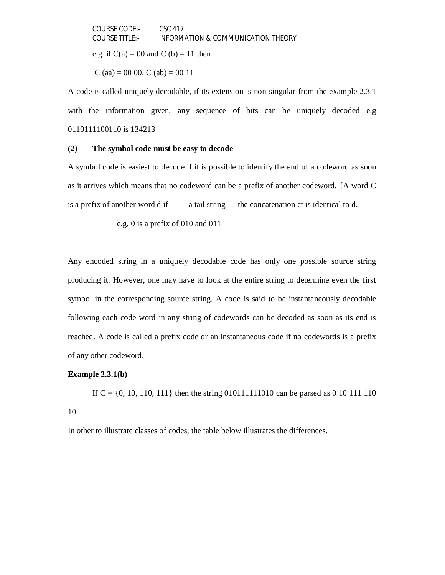COURSE CODE:- CSC 417 COURSE TITLE:- INFORMATION & COMMUNICATION THEORY e.g. if  $C(a) = 00$  and C (b) = 11 then C (aa) = 00 00, C (ab) = 00 11

A code is called uniquely decodable, if its extension is non-singular from the example 2.3.1 with the information given, any sequence of bits can be uniquely decoded e.g 0110111100110 is 134213

#### **(2) The symbol code must be easy to decode**

A symbol code is easiest to decode if it is possible to identify the end of a codeword as soon as it arrives which means that no codeword can be a prefix of another codeword. {A word C is a prefix of another word d if a tail string the concatenation ct is identical to d.

e.g. 0 is a prefix of 010 and 011

Any encoded string in a uniquely decodable code has only one possible source string producing it. However, one may have to look at the entire string to determine even the first symbol in the corresponding source string. A code is said to be instantaneously decodable following each code word in any string of codewords can be decoded as soon as its end is reached. A code is called a prefix code or an instantaneous code if no codewords is a prefix of any other codeword.

#### **Example 2.3.1(b)**

If  $C = \{0, 10, 110, 111\}$  then the string 010111111010 can be parsed as 0 10 111 110 10

In other to illustrate classes of codes, the table below illustrates the differences.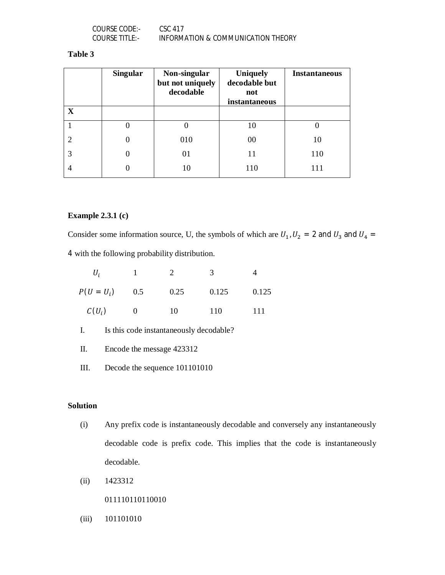| COURSE CODE:-  | CSC 417                            |
|----------------|------------------------------------|
| COURSE TITLE:- | INFORMATION & COMMUNICATION THEORY |

# **Table 3**

|             | <b>Singular</b> | Non-singular<br>but not uniquely<br>decodable | <b>Uniquely</b><br>decodable but<br>not<br>instantaneous | <b>Instantaneous</b> |
|-------------|-----------------|-----------------------------------------------|----------------------------------------------------------|----------------------|
| $\mathbf X$ |                 |                                               |                                                          |                      |
|             | O               | O                                             | 10                                                       | O                    |
|             | $\theta$        | 010                                           | 00                                                       | 10                   |
| 3           | $\Omega$        | 01                                            | 11                                                       | 110                  |
|             |                 | 10                                            | 110                                                      | 111                  |

# **Example 2.3.1 (c)**

Consider some information source, U, the symbols of which are  $U_1$ ,  $U_2 = 2$  and  $U_3$  and  $U_4 =$ 4 with the following probability distribution.

| U,           |          |      | ∍     |       |
|--------------|----------|------|-------|-------|
| $P(U = U_i)$ | 0.5      | 0.25 | 0.125 | 0.125 |
| $C(U_i)$     | $\theta$ | 10   | 110   | 111   |

- I. Is this code instantaneously decodable?
- II. Encode the message 423312
- III. Decode the sequence 101101010

# **Solution**

- (i) Any prefix code is instantaneously decodable and conversely any instantaneously decodable code is prefix code. This implies that the code is instantaneously decodable.
- (ii) 1423312
	- 011110110110010
- (iii) 101101010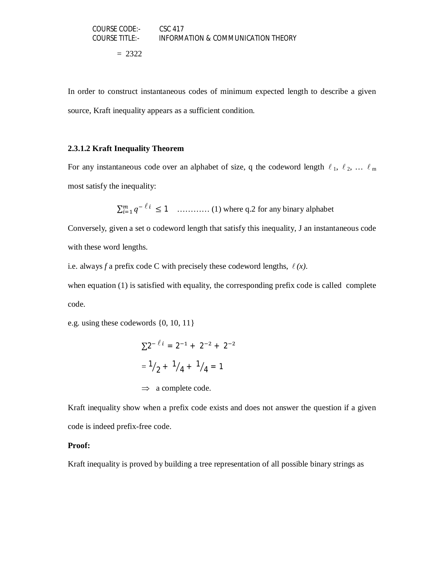$= 2322$ 

In order to construct instantaneous codes of minimum expected length to describe a given source, Kraft inequality appears as a sufficient condition.

# **2.3.1.2 Kraft Inequality Theorem**

For any instantaneous code over an alphabet of size, q the codeword length  $\ell_1$ ,  $\ell_2$ , ...  $\ell_m$ most satisfy the inequality:

ݍ ∑ ି ≤ 1 ୀଵ ………… (1) where q.2 for any binary alphabet

Conversely, given a set o codeword length that satisfy this inequality, J an instantaneous code with these word lengths.

i.e. always *f* a prefix code C with precisely these codeword lengths,  $\ell(x)$ .

when equation (1) is satisfied with equality, the corresponding prefix code is called complete code.

e.g. using these codewords {0, 10, 11}

$$
\Sigma 2^{-l} = 2^{-1} + 2^{-2} + 2^{-2}
$$
  
=  $\frac{1}{2} + \frac{1}{4} + \frac{1}{4} = 1$   
 $\Rightarrow$  a complete code.

Kraft inequality show when a prefix code exists and does not answer the question if a given code is indeed prefix-free code.

### **Proof:**

Kraft inequality is proved by building a tree representation of all possible binary strings as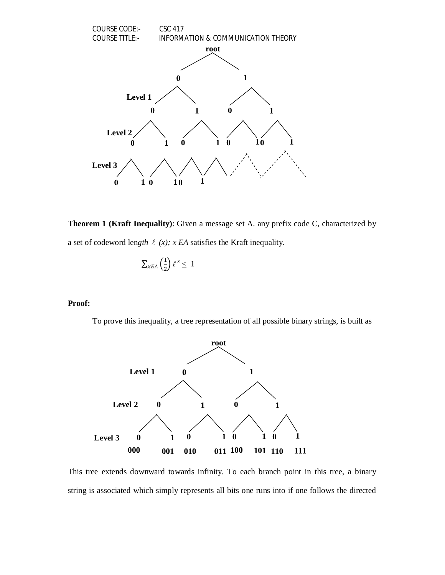

**Theorem 1 (Kraft Inequality)**: Given a message set A. any prefix code C, characterized by a set of codeword length  $\ell$  (x); x EA satisfies the Kraft inequality.

$$
\sum_{x \in A} \left(\frac{1}{2}\right) \ell^x \leq 1
$$

# **Proof:**

To prove this inequality, a tree representation of all possible binary strings, is built as



This tree extends downward towards infinity. To each branch point in this tree, a binary string is associated which simply represents all bits one runs into if one follows the directed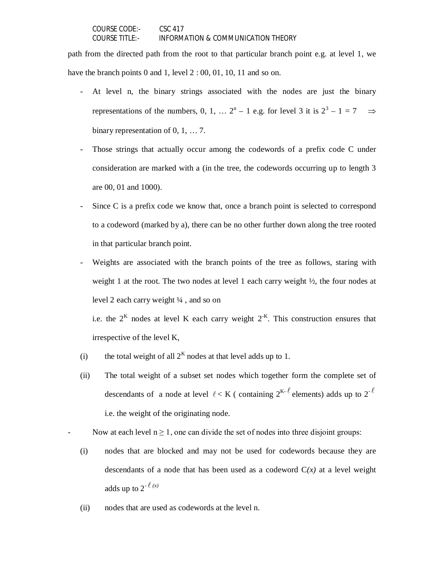path from the directed path from the root to that particular branch point e.g. at level 1, we have the branch points 0 and 1, level  $2:00, 01, 10, 11$  and so on.

- At level n, the binary strings associated with the nodes are just the binary representations of the numbers, 0, 1, ...  $2^{n} - 1$  e.g. for level 3 it is  $2^{3} - 1 = 7 \implies$ binary representation of 0, 1, … 7.
- Those strings that actually occur among the codewords of a prefix code C under consideration are marked with a (in the tree, the codewords occurring up to length 3 are 00, 01 and 1000).
- Since C is a prefix code we know that, once a branch point is selected to correspond to a codeword (marked by a), there can be no other further down along the tree rooted in that particular branch point.
- Weights are associated with the branch points of the tree as follows, staring with weight 1 at the root. The two nodes at level 1 each carry weight  $\frac{1}{2}$ , the four nodes at level 2 each carry weight ¼ , and so on

i.e. the  $2<sup>K</sup>$  nodes at level K each carry weight  $2<sup>-K</sup>$ . This construction ensures that irrespective of the level K,

- (i) the total weight of all  $2<sup>K</sup>$  nodes at that level adds up to 1.
- (ii) The total weight of a subset set nodes which together form the complete set of descendants of a node at level  $\ell < K$  (containing  $2^{K-\ell}$  elements) adds up to  $2^{-\ell}$ i.e. the weight of the originating node.

Now at each level  $n \ge 1$ , one can divide the set of nodes into three disjoint groups:

- (i) nodes that are blocked and may not be used for codewords because they are descendants of a node that has been used as a codeword  $C(x)$  at a level weight adds up to  $2^{-\ell(x)}$
- (ii) nodes that are used as codewords at the level n.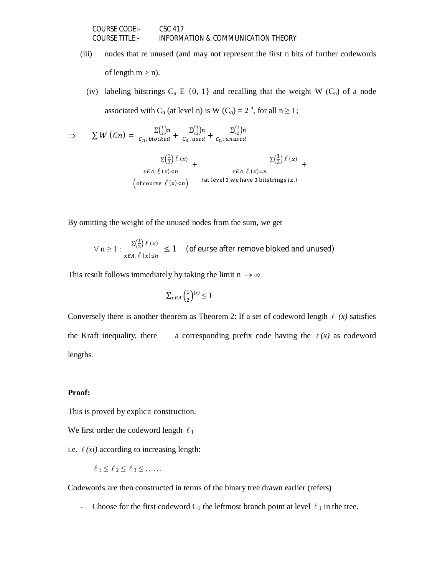- (iii) nodes that re unused (and may not represent the first n bits of further codewords of length  $m > n$ ).
- (iv) labeling bitstrings  $C_n \to \{0, 1\}$  and recalling that the weight W  $(C_n)$  of a node associated with C<sub>n</sub> (at level n) is W (C<sub>n</sub>) =  $2^{-n}$ , for all  $n \ge 1$ ;

+

$$
\Rightarrow \sum W (Cn) = \frac{\sum (\frac{1}{2})n}{c_n; \text{ blocked}} + \frac{\sum (\frac{1}{2})n}{c_n; \text{ used}} + \frac{\sum (\frac{1}{2})n}{c_n; \text{ unused}}
$$

$$
\frac{\sum (\frac{1}{2}) \ell (x)}{xEA, \ell (x) < n} + \frac{xEA, \ell (x) = n}{\left(\text{of course } \ell (x) < n\right)} \quad \text{(at level 3, we have 3 bitstrings i.e.)}
$$

By omitting the weight of the unused nodes from the sum, we get

$$
\forall n \ge 1 : \frac{\Sigma(\frac{1}{2}) \ell(x)}{x \in A, \ell(x) \le n} \le 1 \quad \text{(of curse after remove blocked and unused)}
$$

This result follows immediately by taking the limit  $n \to \infty$ 

$$
\sum_{x \in A} \left(\frac{1}{2}\right)^{(x)} \le 1
$$

Conversely there is another theorem as Theorem 2: If a set of codeword length  $\ell(x)$  satisfies the Kraft inequality, there a corresponding prefix code having the  $\ell(x)$  as codeword lengths.

#### **Proof:**

This is proved by explicit construction.

We first order the codeword length  $\ell_1$ 

i.e.  $\ell$  *(xi)* according to increasing length:

$$
\ell_1 \leq \ell_2 \leq \ell_3 \leq \ldots
$$

Codewords are then constructed in terms of the binary tree drawn earlier (refers)

- Choose for the first codeword  $C_1$  the leftmost branch point at level  $\ell_1$  in the tree.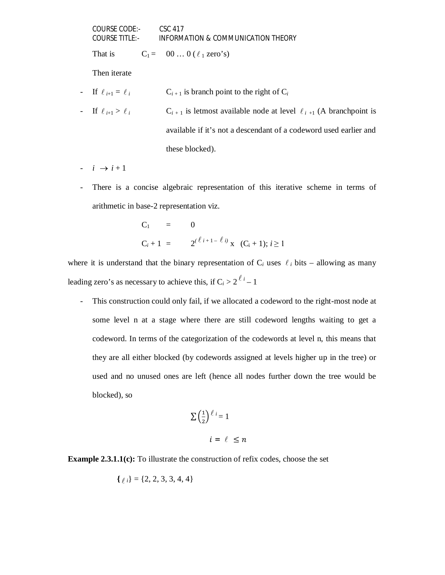That is  $C_1 = 00 ... 0$  (  $\ell_1$  zero's)

Then iterate

- If  $\ell_{i+1} = \ell_i$   $C_{i+1}$  is branch point to the right of  $C_i$
- If  $\ell_{i+1} > \ell_i$  C<sub>i+1</sub> is letmost available node at level  $\ell_{i+1}$  (A branchpoint is available if it's not a descendant of a codeword used earlier and these blocked).
- $i \rightarrow i+1$
- There is a concise algebraic representation of this iterative scheme in terms of arithmetic in base-2 representation viz.

C<sub>1</sub> = 0  
C<sub>i</sub> + 1 = 
$$
2^{(\ell i + 1 - \ell i)} x
$$
 (C<sub>i</sub> + 1);  $i \ge 1$ 

where it is understand that the binary representation of  $C_i$  uses  $\ell_i$  bits – allowing as many leading zero's as necessary to achieve this, if  $C_i > 2^{\ell_i} - 1$ 

- This construction could only fail, if we allocated a codeword to the right-most node at some level n at a stage where there are still codeword lengths waiting to get a codeword. In terms of the categorization of the codewords at level n, this means that they are all either blocked (by codewords assigned at levels higher up in the tree) or used and no unused ones are left (hence all nodes further down the tree would be blocked), so

$$
\sum \left(\frac{1}{2}\right)^{\ell} i = 1
$$
  

$$
i = \ell \le n
$$

# **Example 2.3.1.1(c):** To illustrate the construction of refix codes, choose the set

$$
\{ \ell_i \} = \{2, 2, 3, 3, 4, 4 \}
$$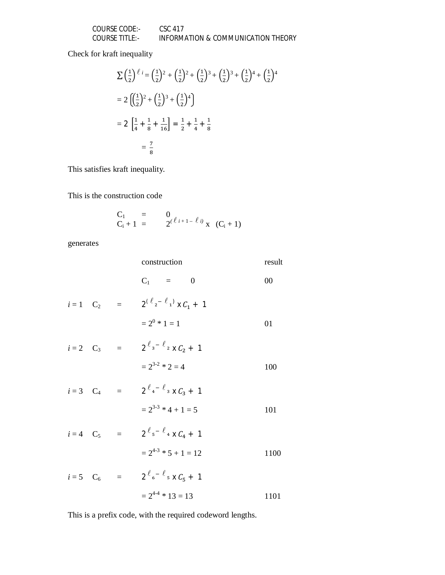| COURSE CODE:-         | CSC 417                            |
|-----------------------|------------------------------------|
| <b>COURSE TITLE:-</b> | INFORMATION & COMMUNICATION THEORY |

Check for kraft inequality

$$
\sum \left(\frac{1}{2}\right)^{\ell} i = \left(\frac{1}{2}\right)^2 + \left(\frac{1}{2}\right)^2 + \left(\frac{1}{2}\right)^3 + \left(\frac{1}{2}\right)^4 + \left(\frac{1}{2}\right)^4
$$
  
=  $2 \left[\left(\frac{1}{2}\right)^2 + \left(\frac{1}{2}\right)^3 + \left(\frac{1}{2}\right)^4\right]$   
=  $2 \left[\frac{1}{4} + \frac{1}{8} + \frac{1}{16}\right] = \frac{1}{2} + \frac{1}{4} + \frac{1}{8}$   
=  $\frac{7}{8}$ 

This satisfies kraft inequality.

This is the construction code

$$
C_1
$$
 = 0  
 $C_i + 1$  = 2<sup>( $\ell$  i+1- $\ell$  i)<sup>i</sup> x ( $C_i + 1$ )</sup>

generates

|                          | construction                               | result |
|--------------------------|--------------------------------------------|--------|
|                          | $C_1 = 0$                                  | 00     |
| $i=1$ $C_2$ =            | $2^{(\ell_{2}-\ell_{1})} \times C_{1} + 1$ |        |
|                          | $= 2^0 * 1 = 1$                            | 01     |
| $i=2$ C <sub>3</sub> =   | $2^{\ell_{3} - \ell_{2}}$ x $C_{2} + 1$    |        |
|                          | $= 2^{3-2} * 2 = 4$                        | 100    |
| $i = 3$ $C_4 =$          | $2^{\ell_{4} - \ell_{3}} \times C_{3} + 1$ |        |
|                          | $= 2^{3-3}$ * 4 + 1 = 5                    | 101    |
| $i = 4$ C <sub>5</sub> = | $2^{\ell_{5} - \ell_{4}}$ x $C_{4} + 1$    |        |
|                          | $= 2^{4-3}$ * 5 + 1 = 12                   | 1100   |
|                          |                                            |        |

$$
i=5
$$
 C<sub>6</sub> =  $2^{\ell} e^{-\ell} s \times C_5 + 1$   
=  $2^{4\cdot 4} * 13 = 13$  1101

This is a prefix code, with the required codeword lengths.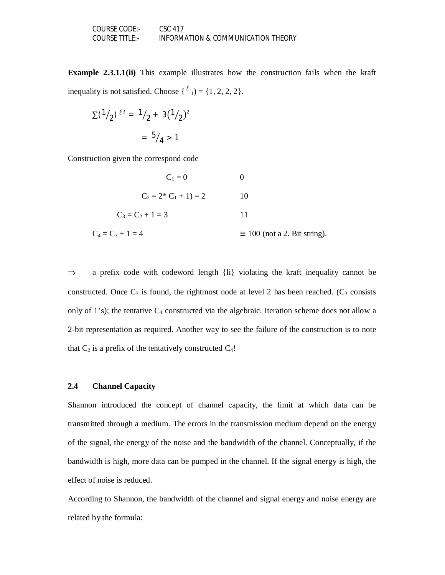**Example 2.3.1.1(ii)** This example illustrates how the construction fails when the kraft inequality is not satisfied. Choose  $\{\ell_1\} = \{1, 2, 2, 2\}.$ 

$$
\Sigma^{(\frac{1}{2}) \ell i} = \frac{1}{2} + 3(\frac{1}{2})^2
$$

$$
= \frac{5}{4} > 1
$$

Construction given the correspond code

| $C_1 = 0$               |                                     |
|-------------------------|-------------------------------------|
| $C_2 = 2 * C_1 + 1 = 2$ | 10                                  |
| $C_3 = C_2 + 1 = 3$     |                                     |
| $C_4 = C_3 + 1 = 4$     | $\equiv$ 100 (not a 2. Bit string). |

 $\Rightarrow$  a prefix code with codeword length {li} violating the kraft inequality cannot be constructed. Once  $C_3$  is found, the rightmost node at level 2 has been reached. ( $C_3$  consists only of 1's); the tentative  $C_4$  constructed via the algebraic. Iteration scheme does not allow a 2-bit representation as required. Another way to see the failure of the construction is to note that  $C_2$  is a prefix of the tentatively constructed  $C_4!$ 

#### **2.4 Channel Capacity**

Shannon introduced the concept of channel capacity, the limit at which data can be transmitted through a medium. The errors in the transmission medium depend on the energy of the signal, the energy of the noise and the bandwidth of the channel. Conceptually, if the bandwidth is high, more data can be pumped in the channel. If the signal energy is high, the effect of noise is reduced.

According to Shannon, the bandwidth of the channel and signal energy and noise energy are related by the formula: